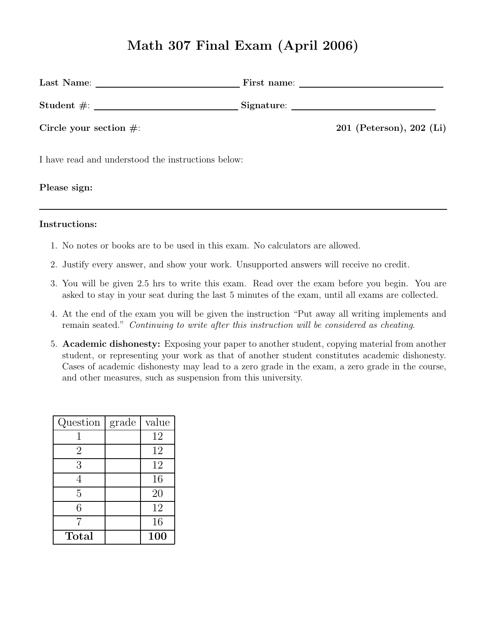# Math 307 Final Exam (April 2006)

| $Student \#:$ Student $\frac{1}{100}$ Signature:   |                          |
|----------------------------------------------------|--------------------------|
| Circle your section $\#$ :                         | 201 (Peterson), 202 (Li) |
| I have read and understood the instructions below: |                          |
| Please sign:                                       |                          |

#### Instructions:

- 1. No notes or books are to be used in this exam. No calculators are allowed.
- 2. Justify every answer, and show your work. Unsupported answers will receive no credit.
- 3. You will be given 2.5 hrs to write this exam. Read over the exam before you begin. You are asked to stay in your seat during the last 5 minutes of the exam, until all exams are collected.
- 4. At the end of the exam you will be given the instruction "Put away all writing implements and remain seated." Continuing to write after this instruction will be considered as cheating.
- 5. Academic dishonesty: Exposing your paper to another student, copying material from another student, or representing your work as that of another student constitutes academic dishonesty. Cases of academic dishonesty may lead to a zero grade in the exam, a zero grade in the course, and other measures, such as suspension from this university.

| Question       | grade | value |
|----------------|-------|-------|
|                |       | 12    |
| $\overline{2}$ |       | 12    |
| 3              |       | 12    |
| 4              |       | 16    |
| 5              |       | 20    |
| 6              |       | 12    |
|                |       | 16    |
| Total          |       | 100   |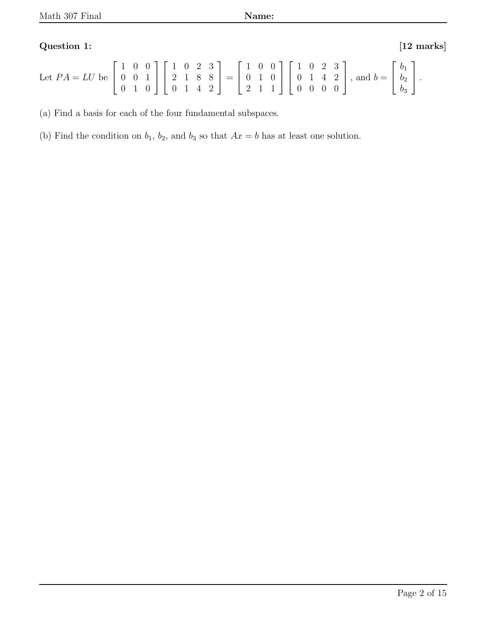## Question 1: [12 marks]

| Let $PA = LU$ be $\begin{bmatrix} 1 & 0 & 0 \\ 0 & 0 & 1 \\ 0 & 1 & 0 \end{bmatrix} \begin{bmatrix} 1 & 0 & 2 & 3 \\ 2 & 1 & 8 & 8 \\ 0 & 1 & 4 & 2 \end{bmatrix} = \begin{bmatrix} 1 & 0 & 0 \\ 0 & 1 & 0 \\ 2 & 1 & 1 \end{bmatrix} \begin{bmatrix} 1 & 0 & 2 & 3 \\ 0 & 1 & 4 & 2 \\ 0 & 0 & 0 & 0 \end{bmatrix}$ , and $b = \begin{bmatrix} b_1 \\ b_2 \\ b_3 \end{bmatrix}$ . |  |  |  |  |  |  |  |  |  |  |  |  |
|------------------------------------------------------------------------------------------------------------------------------------------------------------------------------------------------------------------------------------------------------------------------------------------------------------------------------------------------------------------------------------|--|--|--|--|--|--|--|--|--|--|--|--|
|                                                                                                                                                                                                                                                                                                                                                                                    |  |  |  |  |  |  |  |  |  |  |  |  |

(a) Find a basis for each of the four fundamental subspaces.

(b) Find the condition on  $b_1$ ,  $b_2$ , and  $b_3$  so that  $Ax = b$  has at least one solution.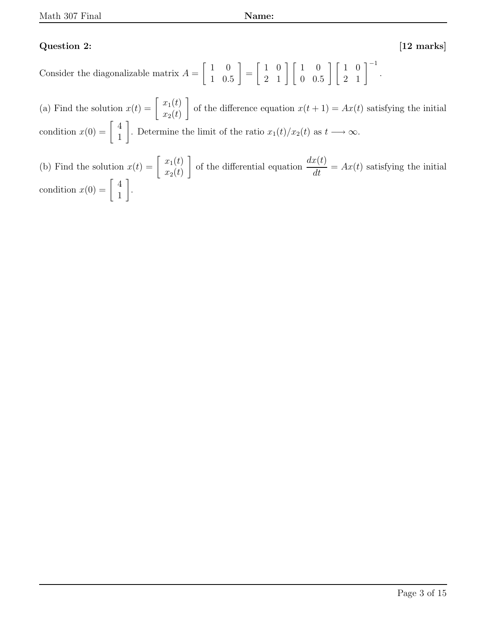#### Question 2: [12 marks]

Consider the diagonalizable matrix  $A =$  $\begin{bmatrix} 1 & 0 \end{bmatrix}$ 1 0.5 1 =  $\begin{bmatrix} 1 & 0 \end{bmatrix}$ 2 1  $\begin{bmatrix} 1 & 0 \\ 0 & 0 \end{bmatrix}$ 0 0.5  $\begin{bmatrix} 1 & 0 \\ 0 & 0 \end{bmatrix}$ 2 1  $1^{-1}$ .

(a) Find the solution  $x(t) =$  $x_1(t)$  $x_2(t)$ 1 of the difference equation  $x(t + 1) = Ax(t)$  satisfying the initial condition  $x(0) =$  $\lceil 4 \rceil$ 1 1 . Determine the limit of the ratio  $x_1(t)/x_2(t)$  as  $t \longrightarrow \infty$ .

(b) Find the solution  $x(t) =$  $x_1(t)$  $x_2(t)$ 1 of the differential equation  $dx(t)$  $\frac{dS(t)}{dt} = Ax(t)$  satisfying the initial condition  $x(0) =$  $\lceil 4 \rceil$ 1 1 .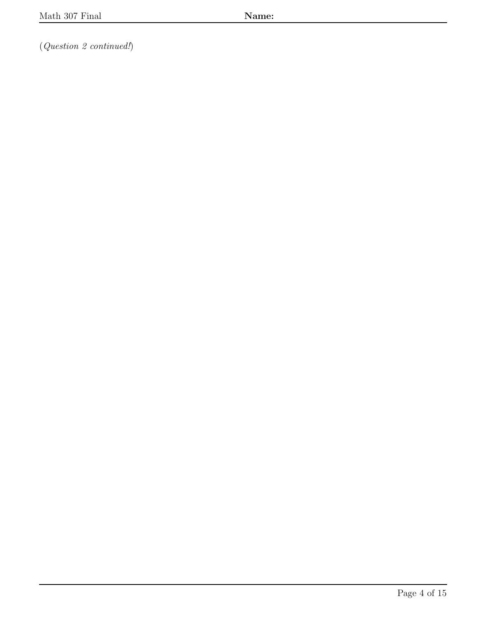(Question 2 continued!)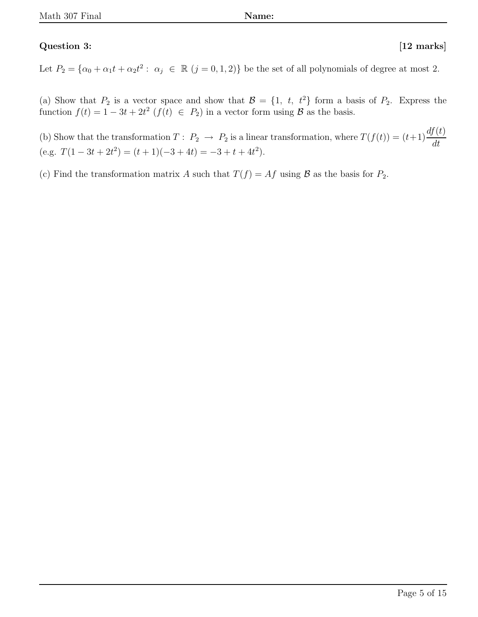### Question 3: [12 marks]

Let  $P_2 = {\alpha_0 + \alpha_1 t + \alpha_2 t^2 : \alpha_j \in \mathbb{R} \ (j = 0, 1, 2)}$  be the set of all polynomials of degree at most 2.

(a) Show that  $P_2$  is a vector space and show that  $\mathcal{B} = \{1, t, t^2\}$  form a basis of  $P_2$ . Express the function  $f(t) = 1 - 3t + 2t^2$   $(f(t) \in P_2)$  in a vector form using  $\mathcal{B}$  as the basis.

(b) Show that the transformation  $T: P_2 \to P_2$  is a linear transformation, where  $T(f(t)) = (t+1)\frac{df(t)}{dt}$ dt (e.g.  $T(1-3t+2t^2) = (t+1)(-3+4t) = -3 + t + 4t^2$ ).

(c) Find the transformation matrix A such that  $T(f) = Af$  using B as the basis for  $P_2$ .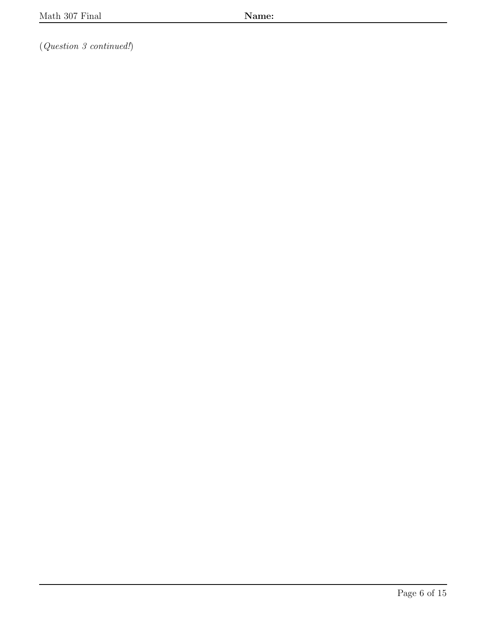(Question 3 continued!)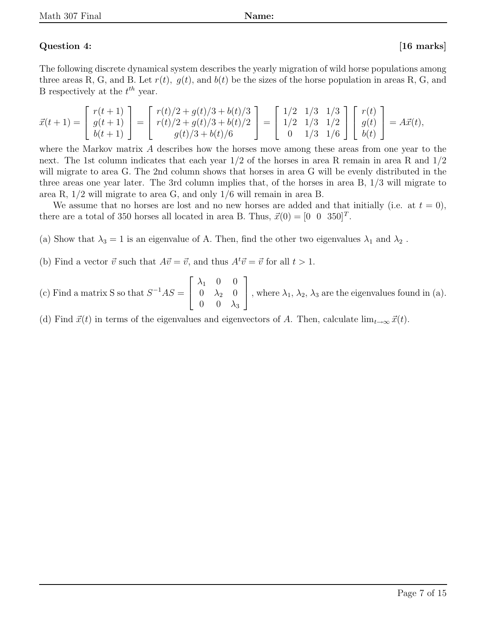#### Question 4: [16 marks]

The following discrete dynamical system describes the yearly migration of wild horse populations among three areas R, G, and B. Let  $r(t)$ ,  $g(t)$ , and  $b(t)$  be the sizes of the horse population in areas R, G, and B respectively at the  $t^{th}$  year.

$$
\vec{x}(t+1) = \begin{bmatrix} r(t+1) \\ g(t+1) \\ b(t+1) \end{bmatrix} = \begin{bmatrix} r(t)/2 + g(t)/3 + b(t)/3 \\ r(t)/2 + g(t)/3 + b(t)/2 \\ g(t)/3 + b(t)/6 \end{bmatrix} = \begin{bmatrix} 1/2 & 1/3 & 1/3 \\ 1/2 & 1/3 & 1/2 \\ 0 & 1/3 & 1/6 \end{bmatrix} \begin{bmatrix} r(t) \\ g(t) \\ b(t) \end{bmatrix} = A\vec{x}(t),
$$

where the Markov matrix A describes how the horses move among these areas from one year to the next. The 1st column indicates that each year  $1/2$  of the horses in area R remain in area R and  $1/2$ will migrate to area G. The 2nd column shows that horses in area G will be evenly distributed in the three areas one year later. The 3rd column implies that, of the horses in area B, 1/3 will migrate to area R, 1/2 will migrate to area G, and only 1/6 will remain in area B.

We assume that no horses are lost and no new horses are added and that initially (i.e. at  $t = 0$ ), there are a total of 350 horses all located in area B. Thus,  $\vec{x}(0) = \begin{bmatrix} 0 & 0 & 350 \end{bmatrix}^T$ .

- (a) Show that  $\lambda_3 = 1$  is an eigenvalue of A. Then, find the other two eigenvalues  $\lambda_1$  and  $\lambda_2$ .
- (b) Find a vector  $\vec{v}$  such that  $A\vec{v} = \vec{v}$ , and thus  $A^t\vec{v} = \vec{v}$  for all  $t > 1$ .
- (c) Find a matrix S so that  $S^{-1}AS =$  $\sqrt{ }$  $\overline{1}$  $\lambda_1$  0 0  $0 \lambda_2$  0  $0 \quad 0 \quad \lambda_3$ 1 , where  $\lambda_1$ ,  $\lambda_2$ ,  $\lambda_3$  are the eigenvalues found in (a).

(d) Find  $\vec{x}(t)$  in terms of the eigenvalues and eigenvectors of A. Then, calculate  $\lim_{t\to\infty} \vec{x}(t)$ .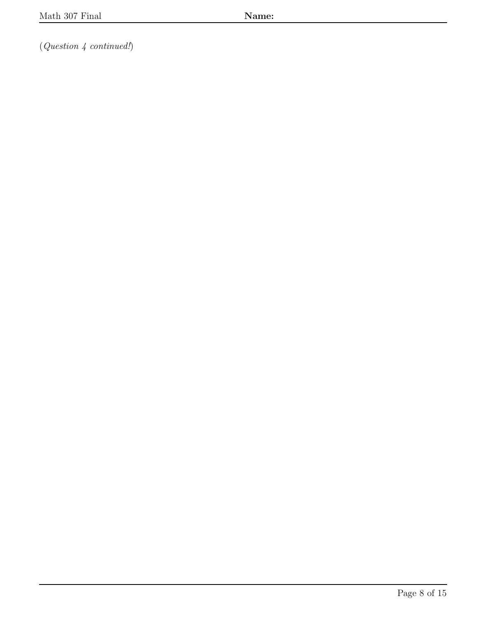$(Question \nmid continued!)$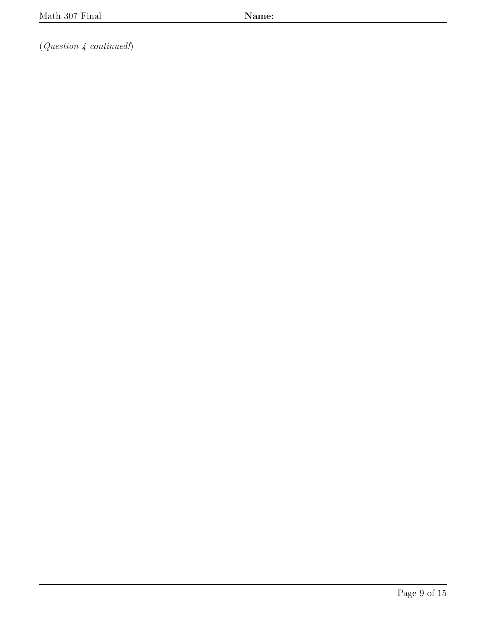$(Question \nmid {continued!})$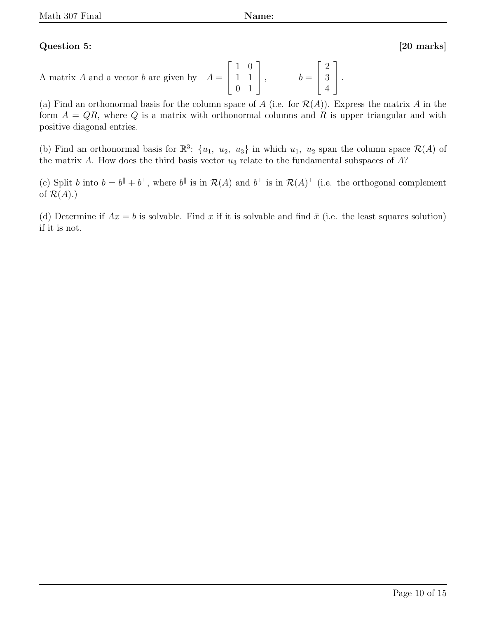#### Question 5: [20 marks]

A matrix A and a vector b are given by  $A =$  $\sqrt{ }$  $\overline{1}$ 1 0 1 1 0 1 1  $\Big\vert ,\qquad \quad b=$  $\sqrt{ }$  $\overline{1}$ 2 3 4 1  $\vert \cdot$ 

(a) Find an orthonormal basis for the column space of A (i.e. for  $\mathcal{R}(A)$ ). Express the matrix A in the form  $A = QR$ , where Q is a matrix with orthonormal columns and R is upper triangular and with positive diagonal entries.

(b) Find an orthonormal basis for  $\mathbb{R}^3$ :  $\{u_1, u_2, u_3\}$  in which  $u_1, u_2$  span the column space  $\mathcal{R}(A)$  of the matrix A. How does the third basis vector  $u_3$  relate to the fundamental subspaces of  $A$ ?

(c) Split b into  $b = b^{\parallel} + b^{\perp}$ , where  $b^{\parallel}$  is in  $\mathcal{R}(A)$  and  $b^{\perp}$  is in  $\mathcal{R}(A)^{\perp}$  (i.e. the orthogonal complement of  $\mathcal{R}(A)$ .)

(d) Determine if  $Ax = b$  is solvable. Find x if it is solvable and find  $\bar{x}$  (i.e. the least squares solution) if it is not.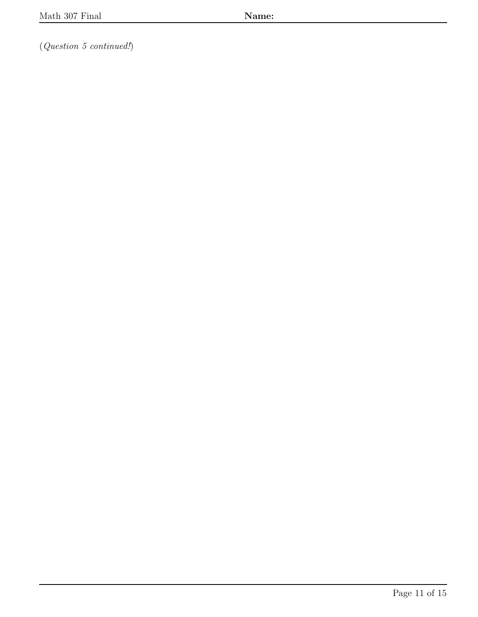(Question 5 continued!)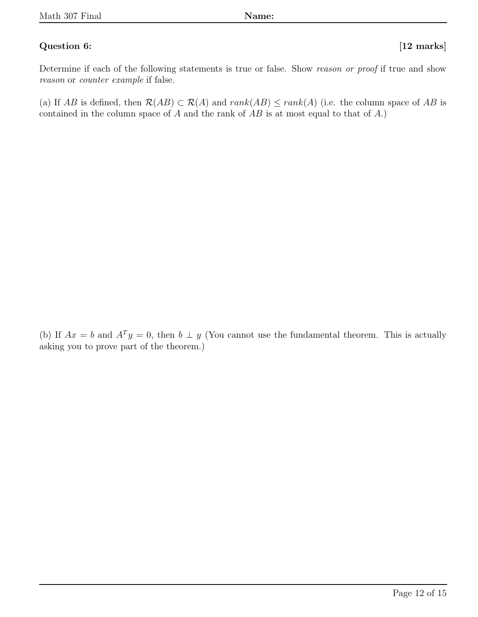#### Question 6: [12 marks]

Determine if each of the following statements is true or false. Show reason or proof if true and show reason or counter example if false.

(a) If AB is defined, then  $\mathcal{R}(AB) \subset \mathcal{R}(A)$  and  $rank(AB) \leq rank(A)$  (i.e. the column space of AB is contained in the column space of  $A$  and the rank of  $AB$  is at most equal to that of  $A$ .)

(b) If  $Ax = b$  and  $A^T y = 0$ , then  $b \perp y$  (You cannot use the fundamental theorem. This is actually asking you to prove part of the theorem.)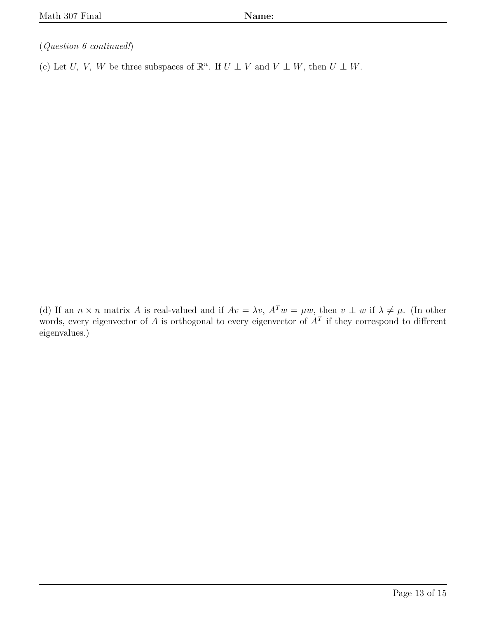(Question 6 continued!)

(c) Let U, V, W be three subspaces of  $\mathbb{R}^n$ . If  $U \perp V$  and  $V \perp W$ , then  $U \perp W$ .

(d) If an  $n \times n$  matrix A is real-valued and if  $Av = \lambda v$ ,  $A^T w = \mu w$ , then  $v \perp w$  if  $\lambda \neq \mu$ . (In other words, every eigenvector of A is orthogonal to every eigenvector of  $A<sup>T</sup>$  if they correspond to different eigenvalues.)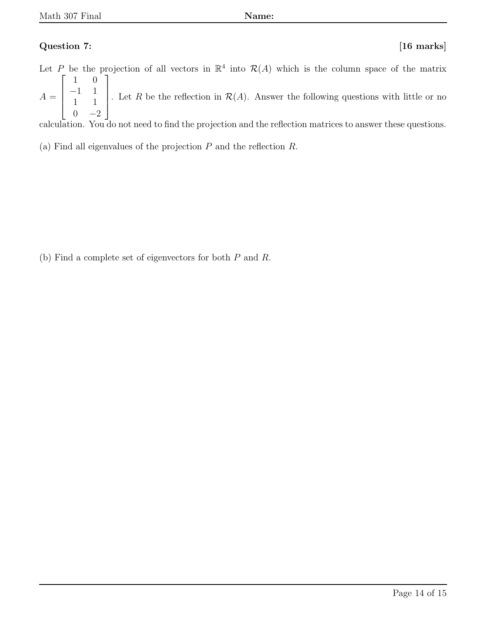### Question 7: [16 marks]

Let P be the projection of all vectors in  $\mathbb{R}^4$  into  $\mathcal{R}(A)$  which is the column space of the matrix  $A =$  $\sqrt{ }$  $\overline{1}$  $\overline{1}$  $\overline{1}$ 1 0 −1 1 1 1  $0 -2$ 1  $\Bigg\}$ . Let R be the reflection in  $\mathcal{R}(A)$ . Answer the following questions with little or no

calculation. You do not need to find the projection and the reflection matrices to answer these questions.

(a) Find all eigenvalues of the projection  $P$  and the reflection  $R$ .

(b) Find a complete set of eigenvectors for both P and R.